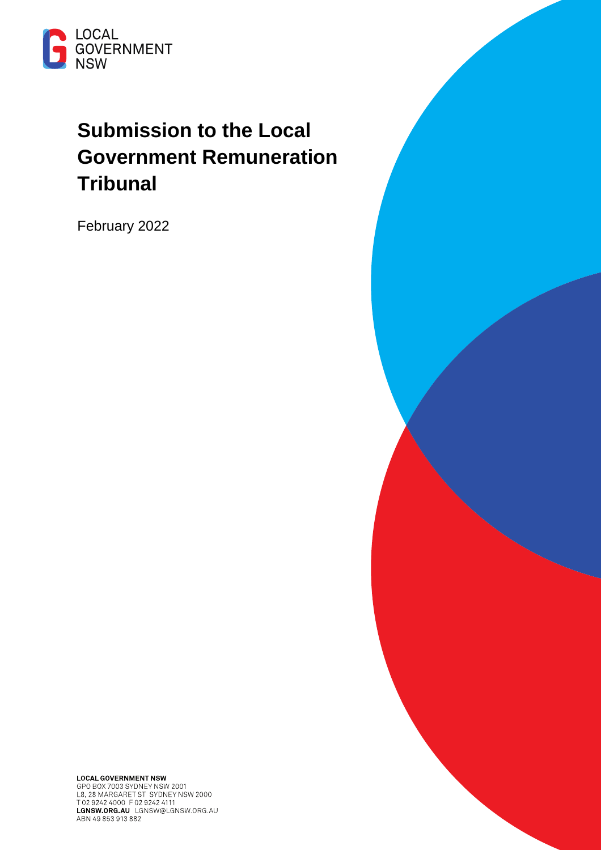

# **Submission to the Local Government Remuneration Tribunal**

February 2022

**LOCAL GOVERNMENT NSW**<br>GPO BOX 7003 SYDNEY NSW 2001<br>L8, 28 MARGARET ST SYDNEY NSW 2000<br>T 02 9242 4000 F 02 9242 4111 LGNSW.ORG.AU LGNSW@LGNSW.ORG.AU ABN 49 853 913 882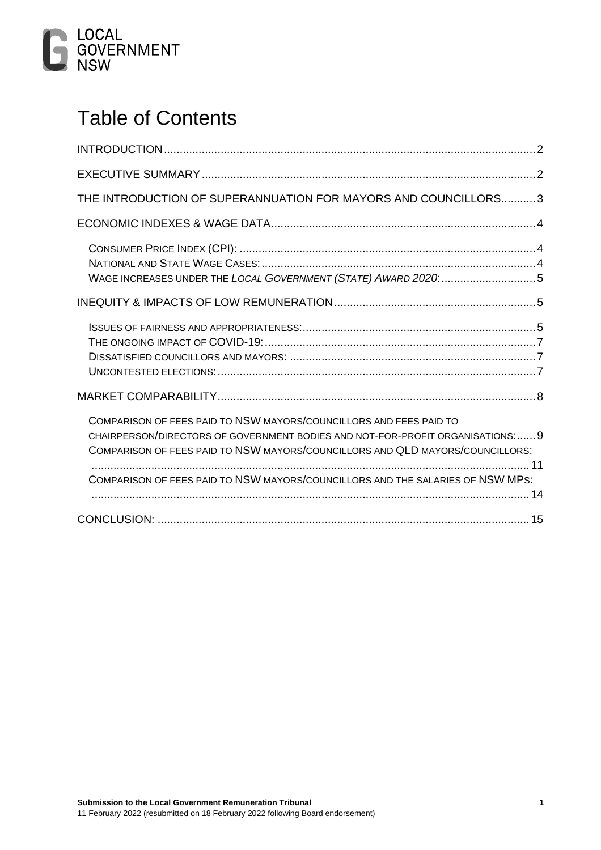

# Table of Contents

| THE INTRODUCTION OF SUPERANNUATION FOR MAYORS AND COUNCILLORS3                                                                                                  |  |
|-----------------------------------------------------------------------------------------------------------------------------------------------------------------|--|
|                                                                                                                                                                 |  |
|                                                                                                                                                                 |  |
| WAGE INCREASES UNDER THE LOCAL GOVERNMENT (STATE) AWARD 2020: 5                                                                                                 |  |
|                                                                                                                                                                 |  |
| COMPARISON OF FEES PAID TO NSW MAYORS/COUNCILLORS AND FEES PAID TO                                                                                              |  |
| CHAIRPERSON/DIRECTORS OF GOVERNMENT BODIES AND NOT-FOR-PROFIT ORGANISATIONS: 9<br>COMPARISON OF FEES PAID TO NSW MAYORS/COUNCILLORS AND QLD MAYORS/COUNCILLORS: |  |
| COMPARISON OF FEES PAID TO NSW MAYORS/COUNCILLORS AND THE SALARIES OF NSW MPS:                                                                                  |  |
|                                                                                                                                                                 |  |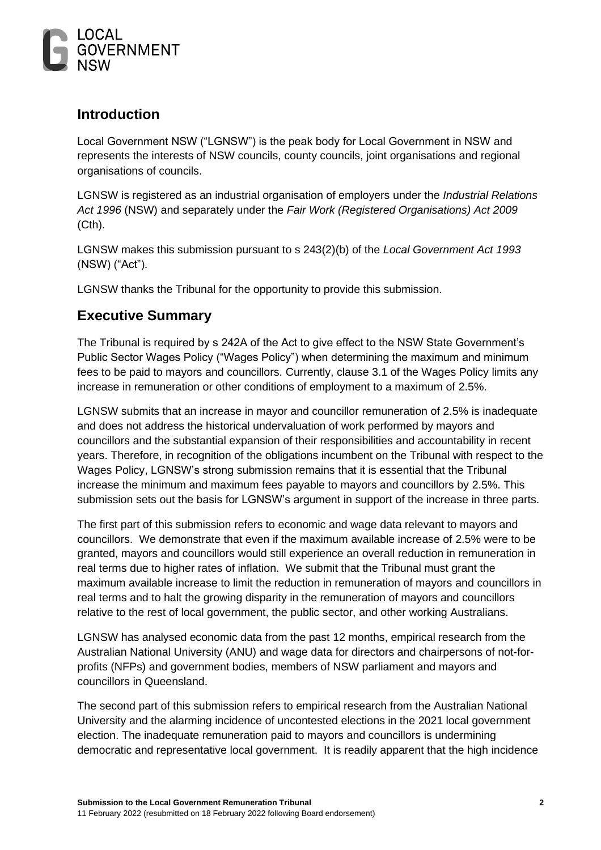

## <span id="page-2-0"></span>**Introduction**

Local Government NSW ("LGNSW") is the peak body for Local Government in NSW and represents the interests of NSW councils, county councils, joint organisations and regional organisations of councils.

LGNSW is registered as an industrial organisation of employers under the *Industrial Relations Act 1996* (NSW) and separately under the *Fair Work (Registered Organisations) Act 2009* (Cth).

LGNSW makes this submission pursuant to s 243(2)(b) of the *Local Government Act 1993*  (NSW) ("Act").

LGNSW thanks the Tribunal for the opportunity to provide this submission.

## <span id="page-2-1"></span>**Executive Summary**

The Tribunal is required by s 242A of the Act to give effect to the NSW State Government's Public Sector Wages Policy ("Wages Policy") when determining the maximum and minimum fees to be paid to mayors and councillors. Currently, clause 3.1 of the Wages Policy limits any increase in remuneration or other conditions of employment to a maximum of 2.5%.

LGNSW submits that an increase in mayor and councillor remuneration of 2.5% is inadequate and does not address the historical undervaluation of work performed by mayors and councillors and the substantial expansion of their responsibilities and accountability in recent years. Therefore, in recognition of the obligations incumbent on the Tribunal with respect to the Wages Policy, LGNSW's strong submission remains that it is essential that the Tribunal increase the minimum and maximum fees payable to mayors and councillors by 2.5%. This submission sets out the basis for LGNSW's argument in support of the increase in three parts.

The first part of this submission refers to economic and wage data relevant to mayors and councillors. We demonstrate that even if the maximum available increase of 2.5% were to be granted, mayors and councillors would still experience an overall reduction in remuneration in real terms due to higher rates of inflation. We submit that the Tribunal must grant the maximum available increase to limit the reduction in remuneration of mayors and councillors in real terms and to halt the growing disparity in the remuneration of mayors and councillors relative to the rest of local government, the public sector, and other working Australians.

LGNSW has analysed economic data from the past 12 months, empirical research from the Australian National University (ANU) and wage data for directors and chairpersons of not-forprofits (NFPs) and government bodies, members of NSW parliament and mayors and councillors in Queensland.

The second part of this submission refers to empirical research from the Australian National University and the alarming incidence of uncontested elections in the 2021 local government election. The inadequate remuneration paid to mayors and councillors is undermining democratic and representative local government. It is readily apparent that the high incidence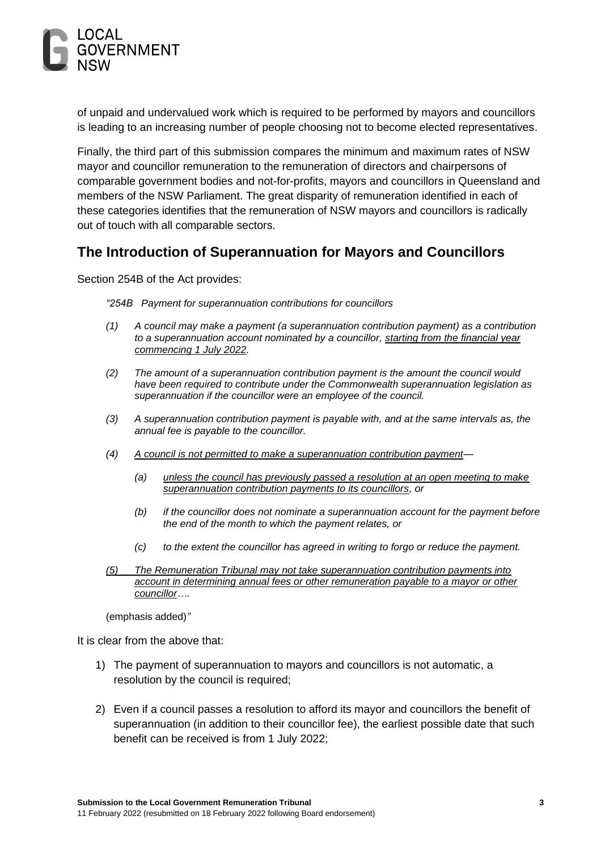

of unpaid and undervalued work which is required to be performed by mayors and councillors is leading to an increasing number of people choosing not to become elected representatives.

Finally, the third part of this submission compares the minimum and maximum rates of NSW mayor and councillor remuneration to the remuneration of directors and chairpersons of comparable government bodies and not-for-profits, mayors and councillors in Queensland and members of the NSW Parliament. The great disparity of remuneration identified in each of these categories identifies that the remuneration of NSW mayors and councillors is radically out of touch with all comparable sectors.

## <span id="page-3-0"></span>**The Introduction of Superannuation for Mayors and Councillors**

Section 254B of the Act provides:

*"254B Payment for superannuation contributions for councillors*

- *(1) A council may make a payment (a superannuation contribution payment) as a contribution to a superannuation account nominated by a councillor, starting from the financial year commencing 1 July 2022.*
- *(2) The amount of a superannuation contribution payment is the amount the council would have been required to contribute under the Commonwealth superannuation legislation as superannuation if the councillor were an employee of the council.*
- *(3) A superannuation contribution payment is payable with, and at the same intervals as, the annual fee is payable to the councillor.*
- *(4) A council is not permitted to make a superannuation contribution payment—*
	- *(a) unless the council has previously passed a resolution at an open meeting to make superannuation contribution payments to its councillors, or*
	- *(b) if the councillor does not nominate a superannuation account for the payment before the end of the month to which the payment relates, or*
	- *(c) to the extent the councillor has agreed in writing to forgo or reduce the payment.*
- *(5) The Remuneration Tribunal may not take superannuation contribution payments into account in determining annual fees or other remuneration payable to a mayor or other councillor….*

(emphasis added)*"*

It is clear from the above that:

- 1) The payment of superannuation to mayors and councillors is not automatic, a resolution by the council is required;
- 2) Even if a council passes a resolution to afford its mayor and councillors the benefit of superannuation (in addition to their councillor fee), the earliest possible date that such benefit can be received is from 1 July 2022;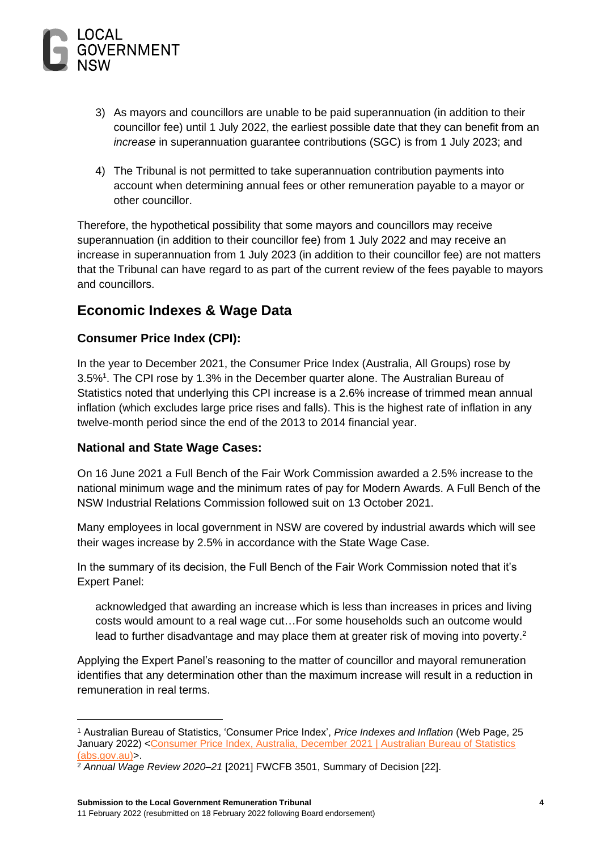

- 3) As mayors and councillors are unable to be paid superannuation (in addition to their councillor fee) until 1 July 2022, the earliest possible date that they can benefit from an *increase* in superannuation guarantee contributions (SGC) is from 1 July 2023; and
- 4) The Tribunal is not permitted to take superannuation contribution payments into account when determining annual fees or other remuneration payable to a mayor or other councillor.

Therefore, the hypothetical possibility that some mayors and councillors may receive superannuation (in addition to their councillor fee) from 1 July 2022 and may receive an increase in superannuation from 1 July 2023 (in addition to their councillor fee) are not matters that the Tribunal can have regard to as part of the current review of the fees payable to mayors and councillors.

## <span id="page-4-0"></span>**Economic Indexes & Wage Data**

#### <span id="page-4-1"></span>**Consumer Price Index (CPI):**

In the year to December 2021, the Consumer Price Index (Australia, All Groups) rose by 3.5%<sup>1</sup> . The CPI rose by 1.3% in the December quarter alone. The Australian Bureau of Statistics noted that underlying this CPI increase is a 2.6% increase of trimmed mean annual inflation (which excludes large price rises and falls). This is the highest rate of inflation in any twelve-month period since the end of the 2013 to 2014 financial year.

#### <span id="page-4-2"></span>**National and State Wage Cases:**

On 16 June 2021 a Full Bench of the Fair Work Commission awarded a 2.5% increase to the national minimum wage and the minimum rates of pay for Modern Awards. A Full Bench of the NSW Industrial Relations Commission followed suit on 13 October 2021.

Many employees in local government in NSW are covered by industrial awards which will see their wages increase by 2.5% in accordance with the State Wage Case.

In the summary of its decision, the Full Bench of the Fair Work Commission noted that it's Expert Panel:

acknowledged that awarding an increase which is less than increases in prices and living costs would amount to a real wage cut…For some households such an outcome would lead to further disadvantage and may place them at greater risk of moving into poverty.<sup>2</sup>

Applying the Expert Panel's reasoning to the matter of councillor and mayoral remuneration identifies that any determination other than the maximum increase will result in a reduction in remuneration in real terms.

<sup>1</sup> Australian Bureau of Statistics, 'Consumer Price Index', *Price Indexes and Inflation* (Web Page, 25 January 2022) <Consumer Price Index, Australia, December 2021 | Australian Bureau of Statistics [\(abs.gov.au\)>](https://www.abs.gov.au/statistics/economy/price-indexes-and-inflation/consumer-price-index-australia/dec-2021).

<sup>2</sup> *Annual Wage Review 2020–21* [2021] FWCFB 3501, Summary of Decision [22].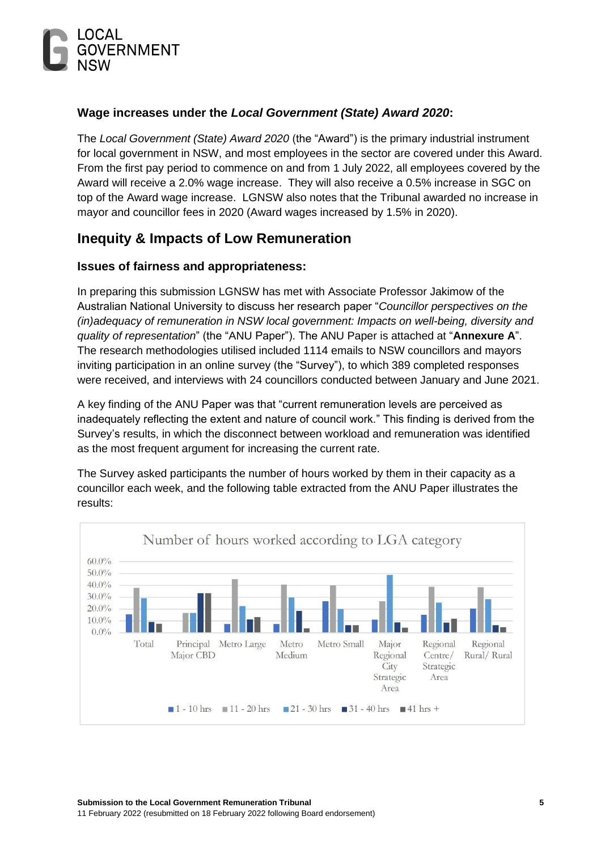

#### <span id="page-5-0"></span>**Wage increases under the** *Local Government (State) Award 2020***:**

The *Local Government (State) Award 2020* (the "Award") is the primary industrial instrument for local government in NSW, and most employees in the sector are covered under this Award. From the first pay period to commence on and from 1 July 2022, all employees covered by the Award will receive a 2.0% wage increase. They will also receive a 0.5% increase in SGC on top of the Award wage increase. LGNSW also notes that the Tribunal awarded no increase in mayor and councillor fees in 2020 (Award wages increased by 1.5% in 2020).

## <span id="page-5-1"></span>**Inequity & Impacts of Low Remuneration**

#### <span id="page-5-2"></span>**Issues of fairness and appropriateness:**

In preparing this submission LGNSW has met with Associate Professor Jakimow of the Australian National University to discuss her research paper "*Councillor perspectives on the (in)adequacy of remuneration in NSW local government: Impacts on well-being, diversity and quality of representation*" (the "ANU Paper"). The ANU Paper is attached at "**Annexure A**". The research methodologies utilised included 1114 emails to NSW councillors and mayors inviting participation in an online survey (the "Survey"), to which 389 completed responses were received, and interviews with 24 councillors conducted between January and June 2021.

A key finding of the ANU Paper was that "current remuneration levels are perceived as inadequately reflecting the extent and nature of council work." This finding is derived from the Survey's results, in which the disconnect between workload and remuneration was identified as the most frequent argument for increasing the current rate.

The Survey asked participants the number of hours worked by them in their capacity as a councillor each week, and the following table extracted from the ANU Paper illustrates the results:

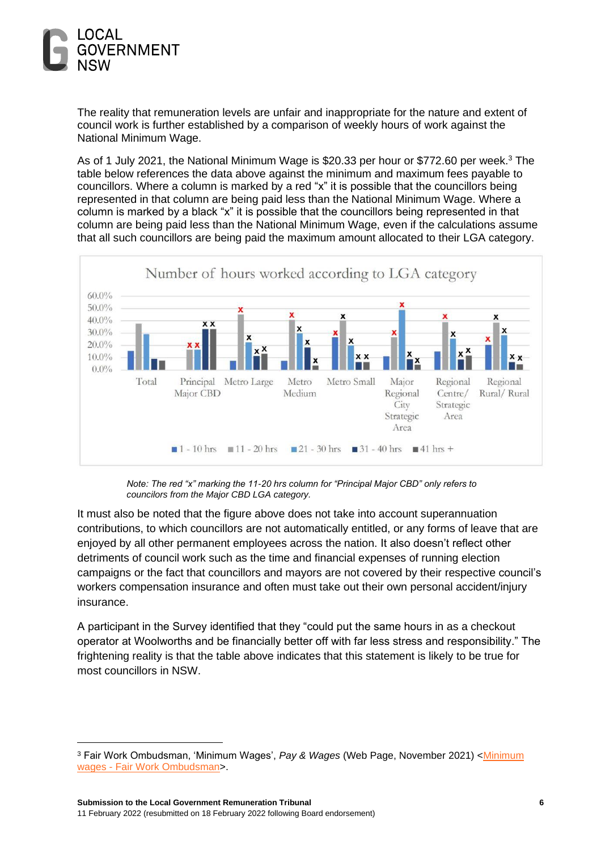

The reality that remuneration levels are unfair and inappropriate for the nature and extent of council work is further established by a comparison of weekly hours of work against the National Minimum Wage.

As of 1 July 2021, the National Minimum Wage is \$20.33 per hour or \$772.60 per week.<sup>3</sup> The table below references the data above against the minimum and maximum fees payable to councillors. Where a column is marked by a red "x" it is possible that the councillors being represented in that column are being paid less than the National Minimum Wage. Where a column is marked by a black "x" it is possible that the councillors being represented in that column are being paid less than the National Minimum Wage, even if the calculations assume that all such councillors are being paid the maximum amount allocated to their LGA category.



*Note: The red "x" marking the 11-20 hrs column for "Principal Major CBD" only refers to councilors from the Major CBD LGA category.* 

It must also be noted that the figure above does not take into account superannuation contributions, to which councillors are not automatically entitled, or any forms of leave that are enjoyed by all other permanent employees across the nation. It also doesn't reflect other detriments of council work such as the time and financial expenses of running election campaigns or the fact that councillors and mayors are not covered by their respective council's workers compensation insurance and often must take out their own personal accident/injury insurance.

A participant in the Survey identified that they "could put the same hours in as a checkout operator at Woolworths and be financially better off with far less stress and responsibility." The frightening reality is that the table above indicates that this statement is likely to be true for most councillors in NSW.

<sup>&</sup>lt;sup>3</sup> Fair Work Ombudsman, 'Minimum Wages', Pay & Wages (Web Page, November 2021) <Minimum wages - [Fair Work Ombudsman>](https://www.fairwork.gov.au/pay-and-wages/minimum-wages).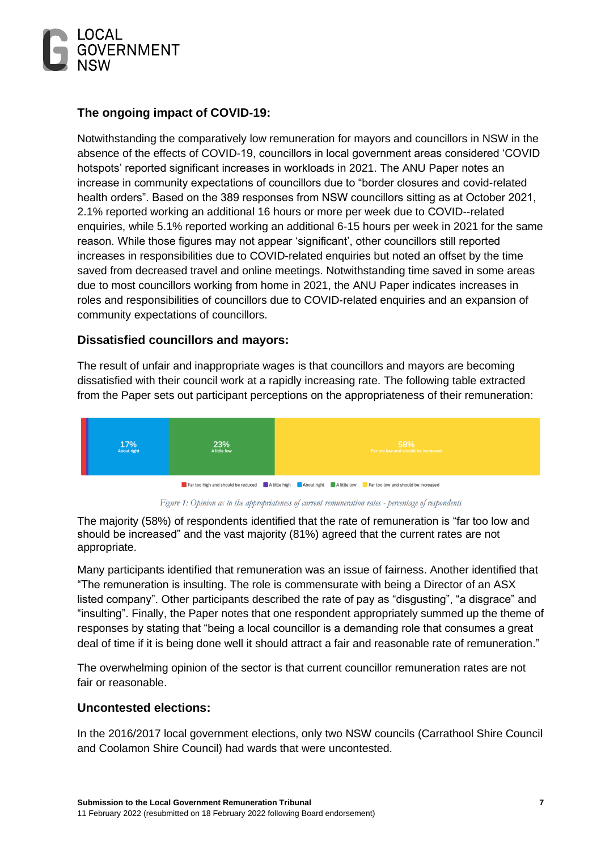

#### <span id="page-7-0"></span>**The ongoing impact of COVID-19:**

Notwithstanding the comparatively low remuneration for mayors and councillors in NSW in the absence of the effects of COVID-19, councillors in local government areas considered 'COVID hotspots' reported significant increases in workloads in 2021. The ANU Paper notes an increase in community expectations of councillors due to "border closures and covid-related health orders". Based on the 389 responses from NSW councillors sitting as at October 2021, 2.1% reported working an additional 16 hours or more per week due to COVID--related enquiries, while 5.1% reported working an additional 6-15 hours per week in 2021 for the same reason. While those figures may not appear 'significant', other councillors still reported increases in responsibilities due to COVID-related enquiries but noted an offset by the time saved from decreased travel and online meetings. Notwithstanding time saved in some areas due to most councillors working from home in 2021, the ANU Paper indicates increases in roles and responsibilities of councillors due to COVID-related enquiries and an expansion of community expectations of councillors.

#### <span id="page-7-1"></span>**Dissatisfied councillors and mayors:**

The result of unfair and inappropriate wages is that councillors and mayors are becoming dissatisfied with their council work at a rapidly increasing rate. The following table extracted from the Paper sets out participant perceptions on the appropriateness of their remuneration:



Figure 1: Opinion as to the appropriateness of current remuneration rates - percentage of respondents

The majority (58%) of respondents identified that the rate of remuneration is "far too low and should be increased" and the vast majority (81%) agreed that the current rates are not appropriate.

Many participants identified that remuneration was an issue of fairness. Another identified that "The remuneration is insulting. The role is commensurate with being a Director of an ASX listed company". Other participants described the rate of pay as "disgusting", "a disgrace" and "insulting". Finally, the Paper notes that one respondent appropriately summed up the theme of responses by stating that "being a local councillor is a demanding role that consumes a great deal of time if it is being done well it should attract a fair and reasonable rate of remuneration."

The overwhelming opinion of the sector is that current councillor remuneration rates are not fair or reasonable.

#### <span id="page-7-2"></span>**Uncontested elections:**

In the 2016/2017 local government elections, only two NSW councils (Carrathool Shire Council and Coolamon Shire Council) had wards that were uncontested.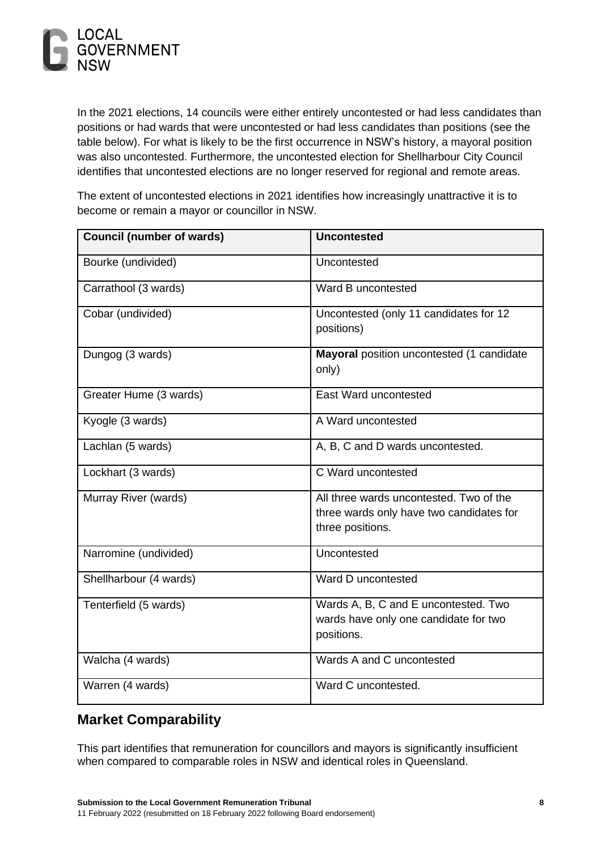

In the 2021 elections, 14 councils were either entirely uncontested or had less candidates than positions or had wards that were uncontested or had less candidates than positions (see the table below). For what is likely to be the first occurrence in NSW's history, a mayoral position was also uncontested. Furthermore, the uncontested election for Shellharbour City Council identifies that uncontested elections are no longer reserved for regional and remote areas.

The extent of uncontested elections in 2021 identifies how increasingly unattractive it is to become or remain a mayor or councillor in NSW.

| <b>Council (number of wards)</b> | <b>Uncontested</b>                                                                                      |
|----------------------------------|---------------------------------------------------------------------------------------------------------|
| Bourke (undivided)               | Uncontested                                                                                             |
| Carrathool (3 wards)             | Ward B uncontested                                                                                      |
| Cobar (undivided)                | Uncontested (only 11 candidates for 12<br>positions)                                                    |
| Dungog (3 wards)                 | Mayoral position uncontested (1 candidate<br>only)                                                      |
| Greater Hume (3 wards)           | East Ward uncontested                                                                                   |
| Kyogle (3 wards)                 | A Ward uncontested                                                                                      |
| Lachlan (5 wards)                | A, B, C and D wards uncontested.                                                                        |
| Lockhart (3 wards)               | C Ward uncontested                                                                                      |
| Murray River (wards)             | All three wards uncontested. Two of the<br>three wards only have two candidates for<br>three positions. |
| Narromine (undivided)            | Uncontested                                                                                             |
| Shellharbour (4 wards)           | Ward D uncontested                                                                                      |
| Tenterfield (5 wards)            | Wards A, B, C and E uncontested. Two<br>wards have only one candidate for two<br>positions.             |
| Walcha (4 wards)                 | Wards A and C uncontested                                                                               |
| Warren (4 wards)                 | Ward C uncontested.                                                                                     |

## <span id="page-8-0"></span>**Market Comparability**

This part identifies that remuneration for councillors and mayors is significantly insufficient when compared to comparable roles in NSW and identical roles in Queensland.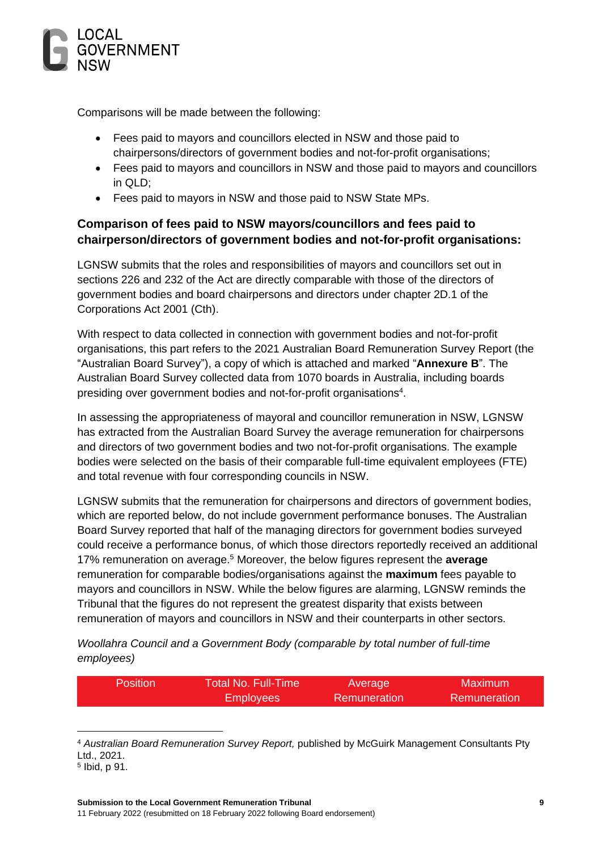

Comparisons will be made between the following:

- Fees paid to mayors and councillors elected in NSW and those paid to chairpersons/directors of government bodies and not-for-profit organisations;
- Fees paid to mayors and councillors in NSW and those paid to mayors and councillors in QLD;
- Fees paid to mayors in NSW and those paid to NSW State MPs.

## <span id="page-9-0"></span>**Comparison of fees paid to NSW mayors/councillors and fees paid to chairperson/directors of government bodies and not-for-profit organisations:**

LGNSW submits that the roles and responsibilities of mayors and councillors set out in sections 226 and 232 of the Act are directly comparable with those of the directors of government bodies and board chairpersons and directors under chapter 2D.1 of the Corporations Act 2001 (Cth).

With respect to data collected in connection with government bodies and not-for-profit organisations, this part refers to the 2021 Australian Board Remuneration Survey Report (the "Australian Board Survey"), a copy of which is attached and marked "**Annexure B**". The Australian Board Survey collected data from 1070 boards in Australia, including boards presiding over government bodies and not-for-profit organisations $4$ .

In assessing the appropriateness of mayoral and councillor remuneration in NSW, LGNSW has extracted from the Australian Board Survey the average remuneration for chairpersons and directors of two government bodies and two not-for-profit organisations. The example bodies were selected on the basis of their comparable full-time equivalent employees (FTE) and total revenue with four corresponding councils in NSW.

LGNSW submits that the remuneration for chairpersons and directors of government bodies, which are reported below, do not include government performance bonuses. The Australian Board Survey reported that half of the managing directors for government bodies surveyed could receive a performance bonus, of which those directors reportedly received an additional 17% remuneration on average.<sup>5</sup> Moreover, the below figures represent the **average** remuneration for comparable bodies/organisations against the **maximum** fees payable to mayors and councillors in NSW. While the below figures are alarming, LGNSW reminds the Tribunal that the figures do not represent the greatest disparity that exists between remuneration of mayors and councillors in NSW and their counterparts in other sectors.

*Woollahra Council and a Government Body (comparable by total number of full-time employees)*

| <b>Position</b> | <b>Total No. Full-Time</b> | Average      | Maximum      |
|-----------------|----------------------------|--------------|--------------|
|                 | <b>Employees</b>           | Remuneration | Remuneration |

<sup>4</sup> *Australian Board Remuneration Survey Report,* published by McGuirk Management Consultants Pty Ltd., 2021.

<sup>5</sup> Ibid, p 91.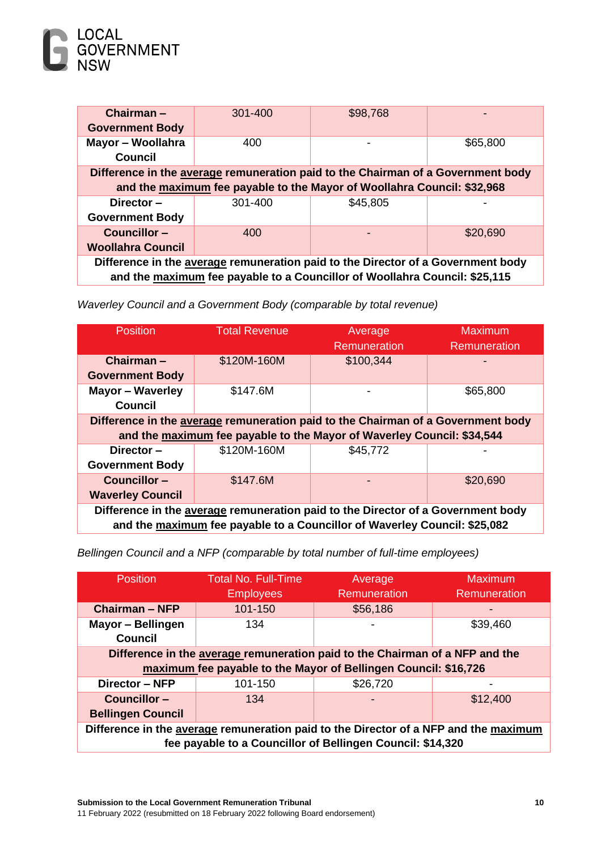

| $Chairman -$                                                                     | 301-400 | \$98,768                                                                         |          |
|----------------------------------------------------------------------------------|---------|----------------------------------------------------------------------------------|----------|
| <b>Government Body</b>                                                           |         |                                                                                  |          |
| Mayor - Woollahra                                                                | 400     |                                                                                  | \$65,800 |
| Council                                                                          |         |                                                                                  |          |
|                                                                                  |         | Difference in the average remuneration paid to the Chairman of a Government body |          |
|                                                                                  |         | and the maximum fee payable to the Mayor of Woollahra Council: \$32,968          |          |
| Director-                                                                        | 301-400 | \$45,805                                                                         |          |
| <b>Government Body</b>                                                           |         |                                                                                  |          |
| Councillor-                                                                      | 400     |                                                                                  | \$20,690 |
| <b>Woollahra Council</b>                                                         |         |                                                                                  |          |
| Difference in the average remuneration paid to the Director of a Government body |         |                                                                                  |          |
| and the maximum fee payable to a Councillor of Woollahra Council: \$25,115       |         |                                                                                  |          |

*Waverley Council and a Government Body (comparable by total revenue)*

| <b>Position</b>                                                                                                                                               | <b>Total Revenue</b> | Average<br><b>Remuneration</b> | Maximum<br><b>Remuneration</b> |
|---------------------------------------------------------------------------------------------------------------------------------------------------------------|----------------------|--------------------------------|--------------------------------|
| Chairman-                                                                                                                                                     | \$120M-160M          | \$100,344                      |                                |
| <b>Government Body</b>                                                                                                                                        |                      |                                |                                |
| <b>Mayor - Waverley</b>                                                                                                                                       | \$147.6M             |                                | \$65,800                       |
| Council                                                                                                                                                       |                      |                                |                                |
| Difference in the average remuneration paid to the Chairman of a Government body                                                                              |                      |                                |                                |
| and the maximum fee payable to the Mayor of Waverley Council: \$34,544                                                                                        |                      |                                |                                |
| Director-                                                                                                                                                     | \$120M-160M          | \$45,772                       |                                |
| <b>Government Body</b>                                                                                                                                        |                      |                                |                                |
| Councillor-                                                                                                                                                   | \$147.6M             |                                | \$20,690                       |
| <b>Waverley Council</b>                                                                                                                                       |                      |                                |                                |
| Difference in the average remuneration paid to the Director of a Government body<br>and the maximum fee payable to a Councillor of Waverley Council: \$25,082 |                      |                                |                                |

*Bellingen Council and a NFP (comparable by total number of full-time employees)*

| <b>Position</b>                                                                      | <b>Total No. Full-Time</b>                                      | Average             | <b>Maximum</b> |  |
|--------------------------------------------------------------------------------------|-----------------------------------------------------------------|---------------------|----------------|--|
|                                                                                      | <b>Employees</b>                                                | <b>Remuneration</b> | Remuneration   |  |
| <b>Chairman - NFP</b>                                                                | 101-150                                                         | \$56,186            |                |  |
| Mayor - Bellingen                                                                    | 134                                                             |                     | \$39,460       |  |
| <b>Council</b>                                                                       |                                                                 |                     |                |  |
| Difference in the average remuneration paid to the Chairman of a NFP and the         |                                                                 |                     |                |  |
|                                                                                      | maximum fee payable to the Mayor of Bellingen Council: \$16,726 |                     |                |  |
| Director - NFP                                                                       | 101-150                                                         | \$26,720            |                |  |
| Councillor-                                                                          | 134                                                             |                     | \$12,400       |  |
| <b>Bellingen Council</b>                                                             |                                                                 |                     |                |  |
| Difference in the average remuneration paid to the Director of a NFP and the maximum |                                                                 |                     |                |  |
| fee payable to a Councillor of Bellingen Council: \$14,320                           |                                                                 |                     |                |  |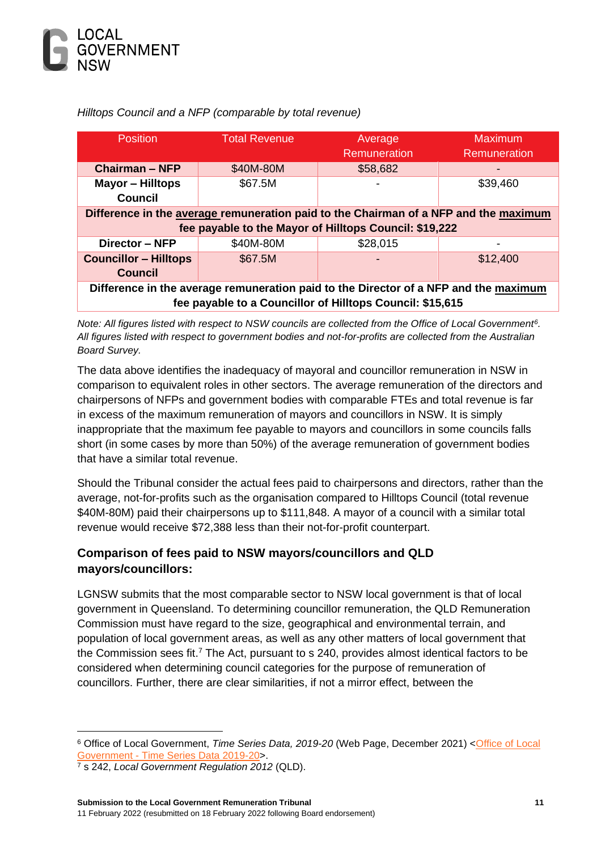

| <b>Position</b>                                                                                                                                   | <b>Total Revenue</b> | Average<br><b>Remuneration</b>                         | <b>Maximum</b><br><b>Remuneration</b> |
|---------------------------------------------------------------------------------------------------------------------------------------------------|----------------------|--------------------------------------------------------|---------------------------------------|
| <b>Chairman - NFP</b>                                                                                                                             | \$40M-80M            | \$58,682                                               |                                       |
| <b>Mayor - Hilltops</b><br><b>Council</b>                                                                                                         | \$67.5M              |                                                        | \$39,460                              |
| Difference in the average remuneration paid to the Chairman of a NFP and the maximum                                                              |                      |                                                        |                                       |
|                                                                                                                                                   |                      | fee payable to the Mayor of Hilltops Council: \$19,222 |                                       |
| Director - NFP                                                                                                                                    | \$40M-80M            | \$28,015                                               |                                       |
| <b>Councillor - Hilltops</b><br><b>Council</b>                                                                                                    | \$67.5M              |                                                        | \$12,400                              |
| Difference in the average remuneration paid to the Director of a NFP and the maximum<br>fee payable to a Councillor of Hilltops Council: \$15,615 |                      |                                                        |                                       |

*Hilltops Council and a NFP (comparable by total revenue)*

*Note: All figures listed with respect to NSW councils are collected from the Office of Local Government<sup>6</sup> . All figures listed with respect to government bodies and not-for-profits are collected from the Australian Board Survey.* 

The data above identifies the inadequacy of mayoral and councillor remuneration in NSW in comparison to equivalent roles in other sectors. The average remuneration of the directors and chairpersons of NFPs and government bodies with comparable FTEs and total revenue is far in excess of the maximum remuneration of mayors and councillors in NSW. It is simply inappropriate that the maximum fee payable to mayors and councillors in some councils falls short (in some cases by more than 50%) of the average remuneration of government bodies that have a similar total revenue.

Should the Tribunal consider the actual fees paid to chairpersons and directors, rather than the average, not-for-profits such as the organisation compared to Hilltops Council (total revenue \$40M-80M) paid their chairpersons up to \$111,848. A mayor of a council with a similar total revenue would receive \$72,388 less than their not-for-profit counterpart.

### <span id="page-11-0"></span>**Comparison of fees paid to NSW mayors/councillors and QLD mayors/councillors:**

LGNSW submits that the most comparable sector to NSW local government is that of local government in Queensland. To determining councillor remuneration, the QLD Remuneration Commission must have regard to the size, geographical and environmental terrain, and population of local government areas, as well as any other matters of local government that the Commission sees fit.<sup>7</sup> The Act, pursuant to s 240, provides almost identical factors to be considered when determining council categories for the purpose of remuneration of councillors. Further, there are clear similarities, if not a mirror effect, between the

<sup>6</sup> Office of Local Government, *Time Series Data, 2019-20* (Web Page, December 2021) [<Office of Local](https://www.olg.nsw.gov.au/public/about-councils/comparative-council-information/your-council-report/)  Government - [Time Series Data 2019-20>](https://www.olg.nsw.gov.au/public/about-councils/comparative-council-information/your-council-report/).

<sup>7</sup> s 242, *Local Government Regulation 2012* (QLD).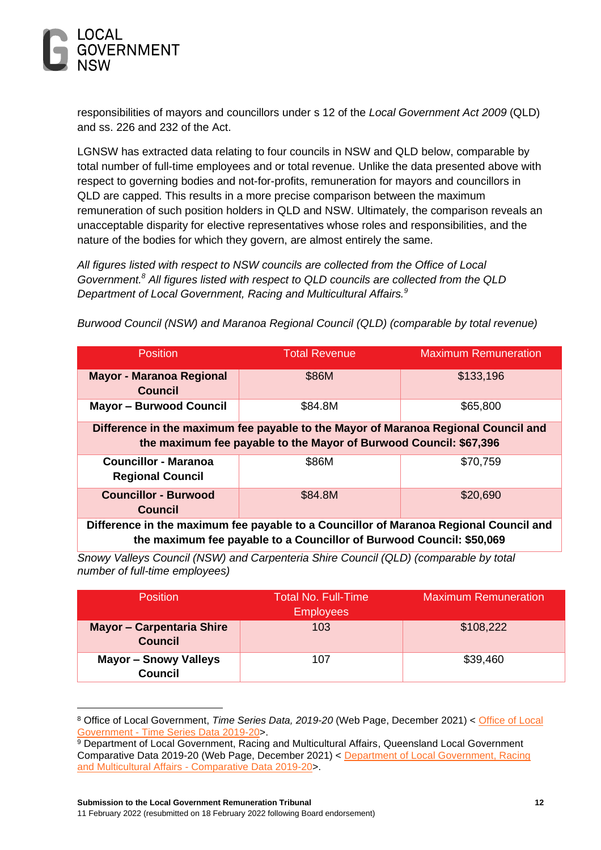

responsibilities of mayors and councillors under s 12 of the *Local Government Act 2009* (QLD) and ss. 226 and 232 of the Act.

LGNSW has extracted data relating to four councils in NSW and QLD below, comparable by total number of full-time employees and or total revenue. Unlike the data presented above with respect to governing bodies and not-for-profits, remuneration for mayors and councillors in QLD are capped. This results in a more precise comparison between the maximum remuneration of such position holders in QLD and NSW. Ultimately, the comparison reveals an unacceptable disparity for elective representatives whose roles and responsibilities, and the nature of the bodies for which they govern, are almost entirely the same.

*All figures listed with respect to NSW councils are collected from the Office of Local Government.<sup>8</sup> All figures listed with respect to QLD councils are collected from the QLD Department of Local Government, Racing and Multicultural Affairs.<sup>9</sup>*

*Burwood Council (NSW) and Maranoa Regional Council (QLD) (comparable by total revenue)*

| <b>Position</b>                                                                                                                                               | <b>Total Revenue</b> | <b>Maximum Remuneration</b> |  |
|---------------------------------------------------------------------------------------------------------------------------------------------------------------|----------------------|-----------------------------|--|
| <b>Mayor - Maranoa Regional</b><br><b>Council</b>                                                                                                             | \$86M                | \$133,196                   |  |
| <b>Mayor - Burwood Council</b>                                                                                                                                | \$84.8M              | \$65,800                    |  |
| Difference in the maximum fee payable to the Mayor of Maranoa Regional Council and<br>the maximum fee payable to the Mayor of Burwood Council: \$67,396       |                      |                             |  |
| <b>Councillor - Maranoa</b><br><b>Regional Council</b>                                                                                                        | \$86M                | \$70,759                    |  |
| <b>Councillor - Burwood</b><br><b>Council</b>                                                                                                                 | \$84.8M              | \$20,690                    |  |
| Difference in the maximum fee payable to a Councillor of Maranoa Regional Council and<br>the maximum fee payable to a Councillor of Burwood Council: \$50,069 |                      |                             |  |

*Snowy Valleys Council (NSW) and Carpenteria Shire Council (QLD) (comparable by total number of full-time employees)*

| <b>Position</b>                                    | Total No. Full-Time<br><b>Employees</b> | <b>Maximum Remuneration</b> |
|----------------------------------------------------|-----------------------------------------|-----------------------------|
| <b>Mayor - Carpentaria Shire</b><br><b>Council</b> | 103                                     | \$108,222                   |
| <b>Mayor - Snowy Valleys</b><br><b>Council</b>     | 107                                     | \$39,460                    |

<sup>8</sup> Office of Local Government, *Time Series Data, 2019-20* (Web Page, December 2021) < [Office of Local](https://www.olg.nsw.gov.au/public/about-councils/comparative-council-information/your-council-report/)  Government - [Time Series Data 2019-20>](https://www.olg.nsw.gov.au/public/about-councils/comparative-council-information/your-council-report/).

<sup>9</sup> Department of Local Government, Racing and Multicultural Affairs, Queensland Local Government Comparative Data 2019-20 (Web Page, December 2021) < [Department of Local Government, Racing](https://www.dlgrma.qld.gov.au/resources/plans-strategies-and-reports/local-government-comparative-reports)  and Multicultural Affairs - [Comparative Data 2019-20>](https://www.dlgrma.qld.gov.au/resources/plans-strategies-and-reports/local-government-comparative-reports).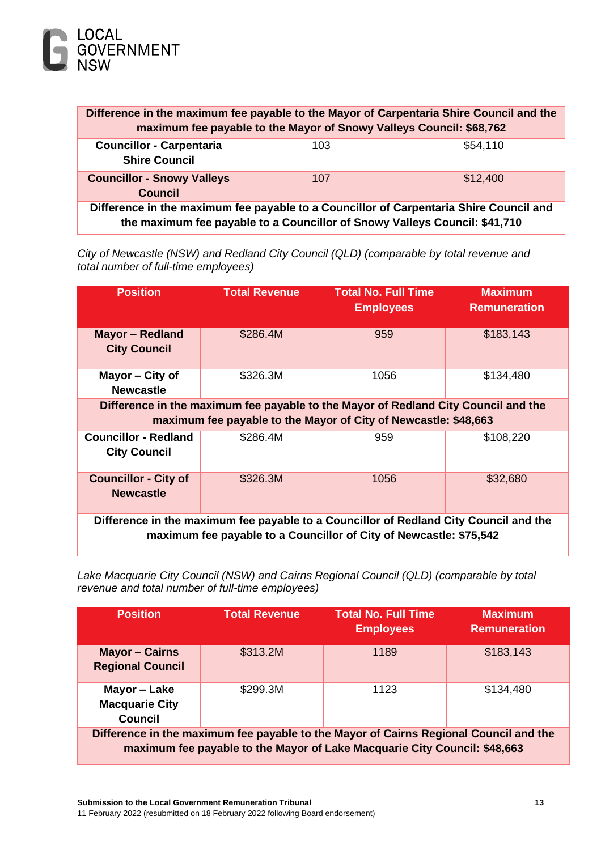

| Difference in the maximum fee payable to the Mayor of Carpentaria Shire Council and the<br>maximum fee payable to the Mayor of Snowy Valleys Council: \$68,762       |     |          |  |  |
|----------------------------------------------------------------------------------------------------------------------------------------------------------------------|-----|----------|--|--|
| \$54,110<br><b>Councillor - Carpentaria</b><br>103<br><b>Shire Council</b>                                                                                           |     |          |  |  |
| <b>Councillor - Snowy Valleys</b><br><b>Council</b>                                                                                                                  | 107 | \$12,400 |  |  |
| Difference in the maximum fee payable to a Councillor of Carpentaria Shire Council and<br>the maximum fee payable to a Councillor of Snowy Valleys Council: \$41,710 |     |          |  |  |

*City of Newcastle (NSW) and Redland City Council (QLD) (comparable by total revenue and total number of full-time employees)*

| <b>Position</b>                                                                                                                                             | <b>Total Revenue</b>                                                                                                                                  | <b>Total No. Full Time</b><br><b>Employees</b> | <b>Maximum</b><br><b>Remuneration</b> |  |
|-------------------------------------------------------------------------------------------------------------------------------------------------------------|-------------------------------------------------------------------------------------------------------------------------------------------------------|------------------------------------------------|---------------------------------------|--|
| <b>Mayor - Redland</b><br><b>City Council</b>                                                                                                               | \$286.4M                                                                                                                                              | 959                                            | \$183,143                             |  |
| Mayor - City of<br><b>Newcastle</b>                                                                                                                         | \$326.3M                                                                                                                                              | 1056                                           | \$134,480                             |  |
|                                                                                                                                                             | Difference in the maximum fee payable to the Mayor of Redland City Council and the<br>maximum fee payable to the Mayor of City of Newcastle: \$48,663 |                                                |                                       |  |
| <b>Councillor - Redland</b><br><b>City Council</b>                                                                                                          | \$286.4M                                                                                                                                              | 959                                            | \$108,220                             |  |
| <b>Councillor - City of</b><br><b>Newcastle</b>                                                                                                             | \$326.3M                                                                                                                                              | 1056                                           | \$32,680                              |  |
| Difference in the maximum fee payable to a Councillor of Redland City Council and the<br>maximum fee payable to a Councillor of City of Newcastle: \$75,542 |                                                                                                                                                       |                                                |                                       |  |

*Lake Macquarie City Council (NSW) and Cairns Regional Council (QLD) (comparable by total revenue and total number of full-time employees)*

| <b>Position</b>                                                                                                                                                    | <b>Total Revenue</b> | <b>Total No. Full Time</b><br><b>Employees</b> | <b>Maximum</b><br><b>Remuneration</b> |
|--------------------------------------------------------------------------------------------------------------------------------------------------------------------|----------------------|------------------------------------------------|---------------------------------------|
| <b>Mayor - Cairns</b><br><b>Regional Council</b>                                                                                                                   | \$313.2M             | 1189                                           | \$183,143                             |
| Mayor - Lake<br><b>Macquarie City</b><br><b>Council</b>                                                                                                            | \$299.3M             | 1123                                           | \$134,480                             |
| Difference in the maximum fee payable to the Mayor of Cairns Regional Council and the<br>maximum fee payable to the Mayor of Lake Macquarie City Council: \$48,663 |                      |                                                |                                       |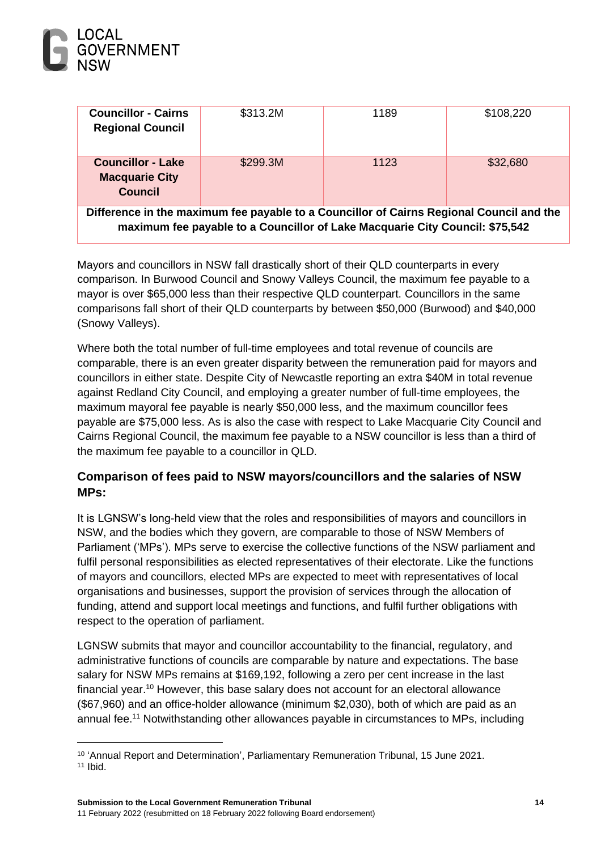

| <b>Councillor - Cairns</b><br><b>Regional Council</b>                                                                                                                    | \$313.2M | 1189 | \$108,220 |
|--------------------------------------------------------------------------------------------------------------------------------------------------------------------------|----------|------|-----------|
| <b>Councillor - Lake</b><br><b>Macquarie City</b><br><b>Council</b>                                                                                                      | \$299.3M | 1123 | \$32,680  |
| Difference in the maximum fee payable to a Councillor of Cairns Regional Council and the<br>maximum fee payable to a Councillor of Lake Macquarie City Council: \$75,542 |          |      |           |

Mayors and councillors in NSW fall drastically short of their QLD counterparts in every comparison. In Burwood Council and Snowy Valleys Council, the maximum fee payable to a mayor is over \$65,000 less than their respective QLD counterpart. Councillors in the same comparisons fall short of their QLD counterparts by between \$50,000 (Burwood) and \$40,000 (Snowy Valleys).

Where both the total number of full-time employees and total revenue of councils are comparable, there is an even greater disparity between the remuneration paid for mayors and councillors in either state. Despite City of Newcastle reporting an extra \$40M in total revenue against Redland City Council, and employing a greater number of full-time employees, the maximum mayoral fee payable is nearly \$50,000 less, and the maximum councillor fees payable are \$75,000 less. As is also the case with respect to Lake Macquarie City Council and Cairns Regional Council, the maximum fee payable to a NSW councillor is less than a third of the maximum fee payable to a councillor in QLD.

### <span id="page-14-0"></span>**Comparison of fees paid to NSW mayors/councillors and the salaries of NSW MPs:**

It is LGNSW's long-held view that the roles and responsibilities of mayors and councillors in NSW, and the bodies which they govern, are comparable to those of NSW Members of Parliament ('MPs'). MPs serve to exercise the collective functions of the NSW parliament and fulfil personal responsibilities as elected representatives of their electorate. Like the functions of mayors and councillors, elected MPs are expected to meet with representatives of local organisations and businesses, support the provision of services through the allocation of funding, attend and support local meetings and functions, and fulfil further obligations with respect to the operation of parliament.

LGNSW submits that mayor and councillor accountability to the financial, regulatory, and administrative functions of councils are comparable by nature and expectations. The base salary for NSW MPs remains at \$169,192, following a zero per cent increase in the last financial year. <sup>10</sup> However, this base salary does not account for an electoral allowance (\$67,960) and an office-holder allowance (minimum \$2,030), both of which are paid as an annual fee. <sup>11</sup> Notwithstanding other allowances payable in circumstances to MPs, including

<sup>&</sup>lt;sup>10</sup> 'Annual Report and Determination', Parliamentary Remuneration Tribunal, 15 June 2021.  $11$  Ibid.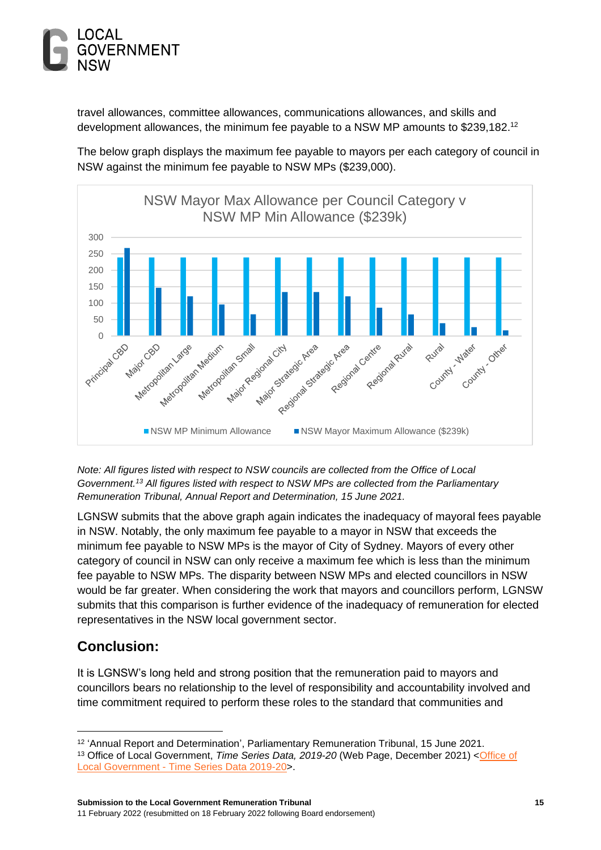

travel allowances, committee allowances, communications allowances, and skills and development allowances, the minimum fee payable to a NSW MP amounts to \$239,182. 12

The below graph displays the maximum fee payable to mayors per each category of council in NSW against the minimum fee payable to NSW MPs (\$239,000).



*Note: All figures listed with respect to NSW councils are collected from the Office of Local Government.<sup>13</sup> All figures listed with respect to NSW MPs are collected from the Parliamentary Remuneration Tribunal, Annual Report and Determination, 15 June 2021.*

LGNSW submits that the above graph again indicates the inadequacy of mayoral fees payable in NSW. Notably, the only maximum fee payable to a mayor in NSW that exceeds the minimum fee payable to NSW MPs is the mayor of City of Sydney. Mayors of every other category of council in NSW can only receive a maximum fee which is less than the minimum fee payable to NSW MPs. The disparity between NSW MPs and elected councillors in NSW would be far greater. When considering the work that mayors and councillors perform, LGNSW submits that this comparison is further evidence of the inadequacy of remuneration for elected representatives in the NSW local government sector.

# <span id="page-15-0"></span>**Conclusion:**

It is LGNSW's long held and strong position that the remuneration paid to mayors and councillors bears no relationship to the level of responsibility and accountability involved and time commitment required to perform these roles to the standard that communities and

<sup>&</sup>lt;sup>12</sup> 'Annual Report and Determination', Parliamentary Remuneration Tribunal, 15 June 2021.

<sup>&</sup>lt;sup>13</sup> Office of Local Government, *Time Series Data, 2019-20* (Web Page, December 2021) < Office of Local Government - [Time Series Data 2019-20>](https://www.olg.nsw.gov.au/public/about-councils/comparative-council-information/your-council-report/).